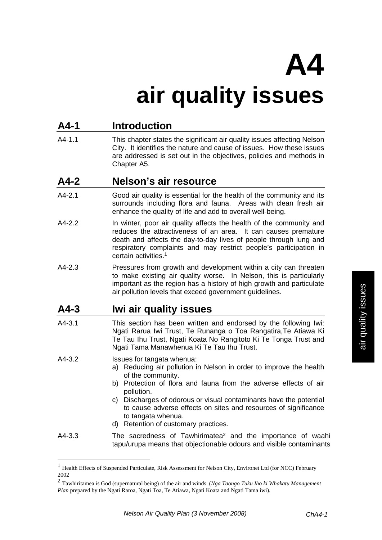# **A4**

# **air quality issues**

# **A4-1 Introduction**

A4-1.1 This chapter states the significant air quality issues affecting Nelson City. It identifies the nature and cause of issues. How these issues are addressed is set out in the objectives, policies and methods in Chapter A5.

#### **A4-2 Nelson's air resource**

- A4-2.1 Good air quality is essential for the health of the community and its surrounds including flora and fauna. Areas with clean fresh air enhance the quality of life and add to overall well-being.
- A4-2.2 In winter, poor air quality affects the health of the community and reduces the attractiveness of an area. It can causes premature death and affects the day-to-day lives of people through lung and respiratory complaints and may restrict people's participation in certain activities.1
- A4-2.3 Pressures from growth and development within a city can threaten to make existing air quality worse. In Nelson, this is particularly important as the region has a history of high growth and particulate air pollution levels that exceed government guidelines.

# **A4-3 Iwi air quality issues**

A4-3.1 This section has been written and endorsed by the following Iwi: Ngati Rarua Iwi Trust, Te Runanga o Toa Rangatira,Te Atiawa Ki Te Tau Ihu Trust, Ngati Koata No Rangitoto Ki Te Tonga Trust and Ngati Tama Manawhenua Ki Te Tau Ihu Trust.

A4-3.2 Issues for tangata whenua:

 $\overline{a}$ 

- a) Reducing air pollution in Nelson in order to improve the health of the community.
- b) Protection of flora and fauna from the adverse effects of air pollution.
- c) Discharges of odorous or visual contaminants have the potential to cause adverse effects on sites and resources of significance to tangata whenua.
- d) Retention of customary practices.
- $A4-3.3$  The sacredness of Tawhirimatea<sup>2</sup> and the importance of waahi tapu/urupa means that objectionable odours and visible contaminants

<sup>&</sup>lt;sup>1</sup> Health Effects of Suspended Particulate, Risk Assessment for Nelson City, Environet Ltd (for NCC) February 2002

<sup>2</sup> Tawhiritamea is God (supernatural being) of the air and winds (*Nga Taongo Tuku Iho ki Whakatu Management Plan* prepared by the Ngati Raroa, Ngati Toa, Te Atiawa, Ngati Koata and Ngati Tama iwi).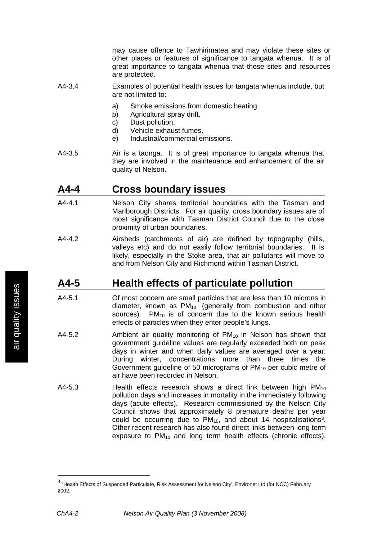may cause offence to Tawhirimatea and may violate these sites or other places or features of significance to tangata whenua. It is of great importance to tangata whenua that these sites and resources are protected.

- A4-3.4 Examples of potential health issues for tangata whenua include, but are not limited to:
	- a) Smoke emissions from domestic heating.
	- b) Agricultural spray drift.
	- c) Dust pollution.
	- d) Vehicle exhaust fumes.
	- e) Industrial/commercial emissions.
- A4-3.5 Air is a taonga. It is of great importance to tangata whenua that they are involved in the maintenance and enhancement of the air quality of Nelson.

#### **A4-4 Cross boundary issues**

- A4-4.1 Nelson City shares territorial boundaries with the Tasman and Marlborough Districts. For air quality, cross boundary issues are of most significance with Tasman District Council due to the close proximity of urban boundaries.
- A4-4.2 Airsheds (catchments of air) are defined by topography (hills, valleys etc) and do not easily follow territorial boundaries. It is likely, especially in the Stoke area, that air pollutants will move to and from Nelson City and Richmond within Tasman District.

# **A4-5 Health effects of particulate pollution**

- A4-5.1 Of most concern are small particles that are less than 10 microns in diameter, known as  $PM_{10}$  (generally from combustion and other sources).  $PM_{10}$  is of concern due to the known serious health effects of particles when they enter people's lungs.
- A4-5.2 Ambient air quality monitoring of  $PM_{10}$  in Nelson has shown that government guideline values are regularly exceeded both on peak days in winter and when daily values are averaged over a year. During winter, concentrations more than three times the Government guideline of 50 micrograms of  $PM_{10}$  per cubic metre of air have been recorded in Nelson.
- $A4-5.3$  Health effects research shows a direct link between high  $PM_{10}$ pollution days and increases in mortality in the immediately following days (acute effects). Research commissioned by the Nelson City Council shows that approximately 8 premature deaths per year could be occurring due to  $PM_{10}$ , and about 14 hospitalisations<sup>3</sup>. Other recent research has also found direct links between long term exposure to  $PM_{10}$  and long term health effects (chronic effects),

 $\overline{a}$ 

<sup>3</sup> 'Health Effects of Suspended Particulate, Risk Assessment for Nelson City', Environet Ltd (for NCC) February 2002.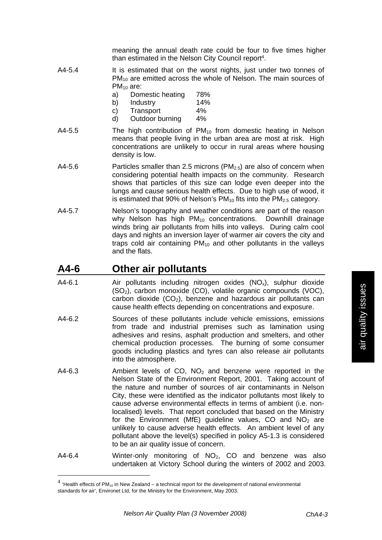meaning the annual death rate could be four to five times higher than estimated in the Nelson City Council report<sup>4</sup>.

- A4-5.4 It is estimated that on the worst nights, just under two tonnes of PM<sub>10</sub> are emitted across the whole of Nelson. The main sources of  $PM_{10}$  are:
	- a) Domestic heating 78%
	- b) Industry 14%
	- c) Transport 4%
	- d) Outdoor burning 4%
- A4-5.5 The high contribution of  $PM_{10}$  from domestic heating in Nelson means that people living in the urban area are most at risk. High concentrations are unlikely to occur in rural areas where housing density is low.
- A4-5.6 Particles smaller than 2.5 microns  $(PM_{2.5})$  are also of concern when considering potential health impacts on the community. Research shows that particles of this size can lodge even deeper into the lungs and cause serious health effects. Due to high use of wood, it is estimated that 90% of Nelson's  $PM_{10}$  fits into the  $PM_{2.5}$  category.
- A4-5.7 Nelson's topography and weather conditions are part of the reason why Nelson has high  $PM_{10}$  concentrations. Downhill drainage winds bring air pollutants from hills into valleys. During calm cool days and nights an inversion layer of warmer air covers the city and traps cold air containing  $PM_{10}$  and other pollutants in the valleys and the flats.

#### **A4-6 Other air pollutants**

 $\overline{a}$ 

- A4-6.1 Air pollutants including nitrogen oxides  $(NO_x)$ , sulphur dioxide (SO2), carbon monoxide (CO), volatile organic compounds (VOC), carbon dioxide  $(CO<sub>2</sub>)$ , benzene and hazardous air pollutants can cause health effects depending on concentrations and exposure.
- A4-6.2 Sources of these pollutants include vehicle emissions, emissions from trade and industrial premises such as lamination using adhesives and resins, asphalt production and smelters, and other chemical production processes. The burning of some consumer goods including plastics and tyres can also release air pollutants into the atmosphere.
- A4-6.3 Ambient levels of  $CO$ ,  $NO<sub>2</sub>$  and benzene were reported in the Nelson State of the Environment Report, 2001. Taking account of the nature and number of sources of air contaminants in Nelson City, these were identified as the indicator pollutants most likely to cause adverse environmental effects in terms of ambient (i.e. nonlocalised) levels. That report concluded that based on the Ministry for the Environment (MfE) guideline values, CO and  $NO<sub>2</sub>$  are unlikely to cause adverse health effects. An ambient level of any pollutant above the level(s) specified in policy A5-1.3 is considered to be an air quality issue of concern.
- A4-6.4 Winter-only monitoring of NO<sub>2</sub>, CO and benzene was also undertaken at Victory School during the winters of 2002 and 2003.

 $4$  'Health effects of PM<sub>10</sub> in New Zealand – a technical report for the development of national environmental standards for air', Environet Ltd, for the Ministry for the Environment, May 2003.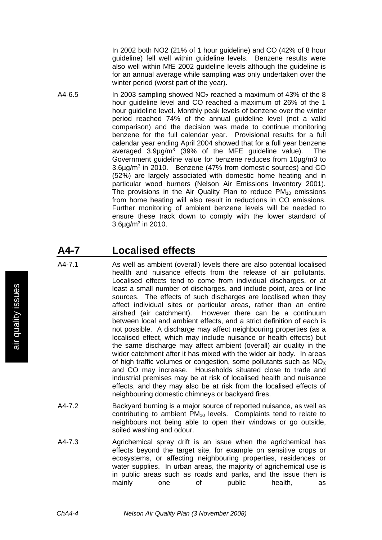In 2002 both NO2 (21% of 1 hour guideline) and CO (42% of 8 hour guideline) fell well within guideline levels. Benzene results were also well within MfE 2002 guideline levels although the guideline is for an annual average while sampling was only undertaken over the winter period (worst part of the year).

A4-6.5 In 2003 sampling showed  $NO<sub>2</sub>$  reached a maximum of 43% of the 8 hour guideline level and CO reached a maximum of 26% of the 1 hour guideline level. Monthly peak levels of benzene over the winter period reached 74% of the annual guideline level (not a valid comparison) and the decision was made to continue monitoring benzene for the full calendar year. Provisional results for a full calendar year ending April 2004 showed that for a full year benzene averaged 3.9µg/m3 (39% of the MFE guideline value). The Government guideline value for benzene reduces from 10µg/m3 to 3.6µg/m3 in 2010. Benzene (47% from domestic sources) and CO (52%) are largely associated with domestic home heating and in particular wood burners (Nelson Air Emissions Inventory 2001). The provisions in the Air Quality Plan to reduce  $PM_{10}$  emissions from home heating will also result in reductions in CO emissions. Further monitoring of ambient benzene levels will be needed to ensure these track down to comply with the lower standard of  $3.6\mu$ g/m<sup>3</sup> in 2010.

#### **A4-7 Localised effects**

- A4-7.1 As well as ambient (overall) levels there are also potential localised health and nuisance effects from the release of air pollutants. Localised effects tend to come from individual discharges, or at least a small number of discharges, and include point, area or line sources. The effects of such discharges are localised when they affect individual sites or particular areas, rather than an entire airshed (air catchment). However there can be a continuum between local and ambient effects, and a strict definition of each is not possible. A discharge may affect neighbouring properties (as a localised effect, which may include nuisance or health effects) but the same discharge may affect ambient (overall) air quality in the wider catchment after it has mixed with the wider air body. In areas of high traffic volumes or congestion, some pollutants such as  $NO<sub>x</sub>$ and CO may increase. Households situated close to trade and industrial premises may be at risk of localised health and nuisance effects, and they may also be at risk from the localised effects of neighbouring domestic chimneys or backyard fires.
- A4-7.2 Backyard burning is a major source of reported nuisance, as well as contributing to ambient PM<sub>10</sub> levels. Complaints tend to relate to neighbours not being able to open their windows or go outside, soiled washing and odour.
- A4-7.3 Agrichemical spray drift is an issue when the agrichemical has effects beyond the target site, for example on sensitive crops or ecosystems, or affecting neighbouring properties, residences or water supplies. In urban areas, the majority of agrichemical use is in public areas such as roads and parks, and the issue then is mainly one of public health, as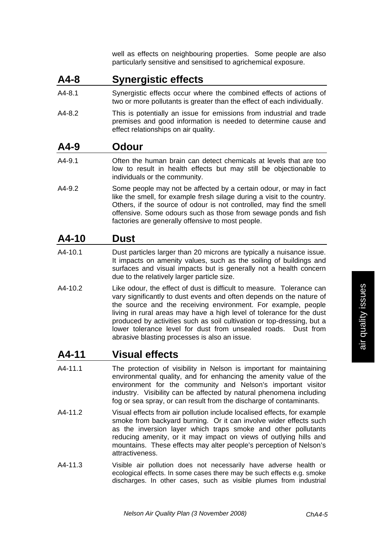well as effects on neighbouring properties. Some people are also particularly sensitive and sensitised to agrichemical exposure.

# **A4-8 Synergistic effects**

- A4-8.1 Synergistic effects occur where the combined effects of actions of two or more pollutants is greater than the effect of each individually.
- A4-8.2 This is potentially an issue for emissions from industrial and trade premises and good information is needed to determine cause and effect relationships on air quality.

#### **A4-9 Odour**

- A4-9.1 Often the human brain can detect chemicals at levels that are too low to result in health effects but may still be objectionable to individuals or the community.
- A4-9.2 Some people may not be affected by a certain odour, or may in fact like the smell, for example fresh silage during a visit to the country. Others, if the source of odour is not controlled, may find the smell offensive. Some odours such as those from sewage ponds and fish factories are generally offensive to most people.

# **A4-10 Dust**

- A4-10.1 Dust particles larger than 20 microns are typically a nuisance issue. It impacts on amenity values, such as the soiling of buildings and surfaces and visual impacts but is generally not a health concern due to the relatively larger particle size.
- A4-10.2 Like odour, the effect of dust is difficult to measure. Tolerance can vary significantly to dust events and often depends on the nature of the source and the receiving environment. For example, people living in rural areas may have a high level of tolerance for the dust produced by activities such as soil cultivation or top-dressing, but a lower tolerance level for dust from unsealed roads. Dust from abrasive blasting processes is also an issue.

# **A4-11 Visual effects**

- A4-11.1 The protection of visibility in Nelson is important for maintaining environmental quality, and for enhancing the amenity value of the environment for the community and Nelson's important visitor industry. Visibility can be affected by natural phenomena including fog or sea spray, or can result from the discharge of contaminants.
- A4-11.2 Visual effects from air pollution include localised effects, for example smoke from backyard burning. Or it can involve wider effects such as the inversion layer which traps smoke and other pollutants reducing amenity, or it may impact on views of outlying hills and mountains. These effects may alter people's perception of Nelson's attractiveness.
- A4-11.3 Visible air pollution does not necessarily have adverse health or ecological effects. In some cases there may be such effects e.g. smoke discharges. In other cases, such as visible plumes from industrial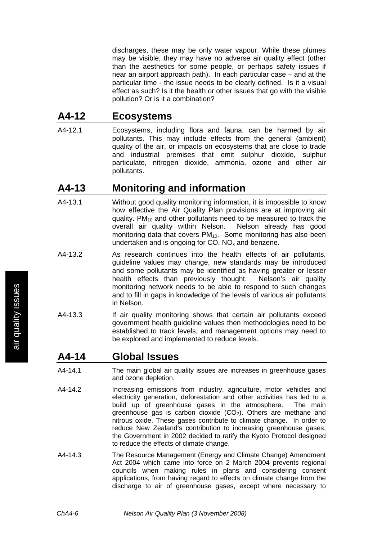discharges, these may be only water vapour. While these plumes may be visible, they may have no adverse air quality effect (other than the aesthetics for some people, or perhaps safety issues if near an airport approach path). In each particular case – and at the particular time - the issue needs to be clearly defined. Is it a visual effect as such? Is it the health or other issues that go with the visible pollution? Or is it a combination?

#### **A4-12 Ecosystems**

A4-12.1 Ecosystems, including flora and fauna, can be harmed by air pollutants. This may include effects from the general (ambient) quality of the air, or impacts on ecosystems that are close to trade and industrial premises that emit sulphur dioxide, sulphur particulate, nitrogen dioxide, ammonia, ozone and other air pollutants.

# **A4-13 Monitoring and information**

- A4-13.1 Without good quality monitoring information, it is impossible to know how effective the Air Quality Plan provisions are at improving air quality.  $PM_{10}$  and other pollutants need to be measured to track the overall air quality within Nelson. Nelson already has good monitoring data that covers PM<sub>10</sub>. Some monitoring has also been undertaken and is ongoing for  $CO$ ,  $NO<sub>x</sub>$  and benzene.
- A4-13.2 As research continues into the health effects of air pollutants, guideline values may change, new standards may be introduced and some pollutants may be identified as having greater or lesser health effects than previously thought. Nelson's air quality monitoring network needs to be able to respond to such changes and to fill in gaps in knowledge of the levels of various air pollutants in Nelson.
- A4-13.3 If air quality monitoring shows that certain air pollutants exceed government health guideline values then methodologies need to be established to track levels, and management options may need to be explored and implemented to reduce levels.

# **A4-14 Global Issues**

- A4-14.1 The main global air quality issues are increases in greenhouse gases and ozone depletion.
- A4-14.2 Increasing emissions from industry, agriculture, motor vehicles and electricity generation, deforestation and other activities has led to a build up of greenhouse gases in the atmosphere. The main greenhouse gas is carbon dioxide  $(CO<sub>2</sub>)$ . Others are methane and nitrous oxide. These gases contribute to climate change. In order to reduce New Zealand's contribution to increasing greenhouse gases, the Government in 2002 decided to ratify the Kyoto Protocol designed to reduce the effects of climate change.
- A4-14.3 The Resource Management (Energy and Climate Change) Amendment Act 2004 which came into force on 2 March 2004 prevents regional councils when making rules in plans and considering consent applications, from having regard to effects on climate change from the discharge to air of greenhouse gases, except where necessary to